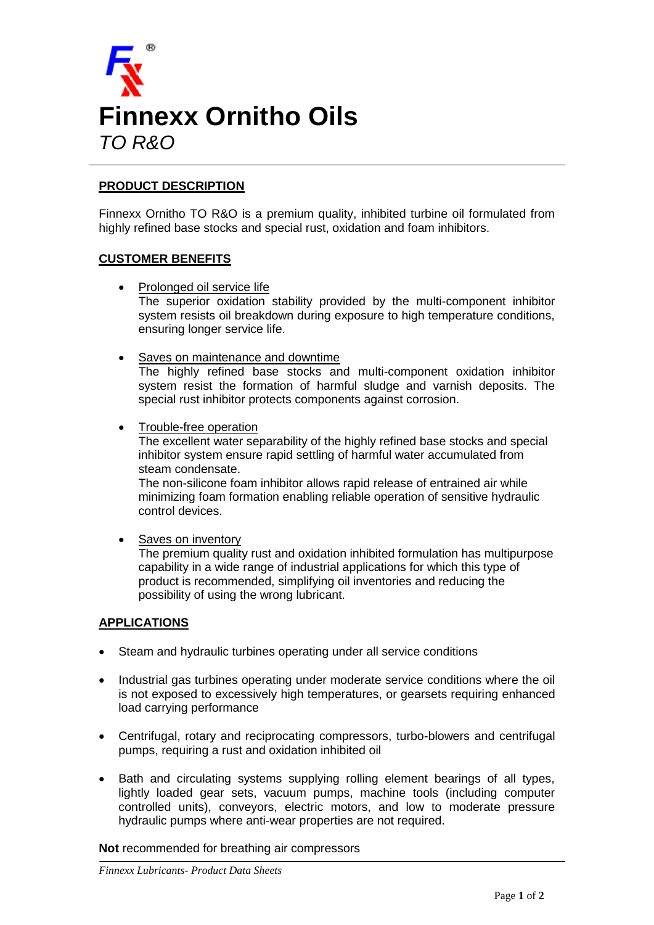

# **PRODUCT DESCRIPTION**

Finnexx Ornitho TO R&O is a premium quality, inhibited turbine oil formulated from highly refined base stocks and special rust, oxidation and foam inhibitors.

## **CUSTOMER BENEFITS**

- Prolonged oil service life The superior oxidation stability provided by the multi-component inhibitor system resists oil breakdown during exposure to high temperature conditions, ensuring longer service life.
- Saves on maintenance and downtime

The highly refined base stocks and multi-component oxidation inhibitor system resist the formation of harmful sludge and varnish deposits. The special rust inhibitor protects components against corrosion.

• Trouble-free operation

The excellent water separability of the highly refined base stocks and special inhibitor system ensure rapid settling of harmful water accumulated from steam condensate.

The non-silicone foam inhibitor allows rapid release of entrained air while minimizing foam formation enabling reliable operation of sensitive hydraulic control devices.

## Saves on inventory

The premium quality rust and oxidation inhibited formulation has multipurpose capability in a wide range of industrial applications for which this type of product is recommended, simplifying oil inventories and reducing the possibility of using the wrong lubricant.

#### **APPLICATIONS**

- Steam and hydraulic turbines operating under all service conditions
- Industrial gas turbines operating under moderate service conditions where the oil is not exposed to excessively high temperatures, or gearsets requiring enhanced load carrying performance
- Centrifugal, rotary and reciprocating compressors, turbo-blowers and centrifugal pumps, requiring a rust and oxidation inhibited oil
- Bath and circulating systems supplying rolling element bearings of all types, lightly loaded gear sets, vacuum pumps, machine tools (including computer controlled units), conveyors, electric motors, and low to moderate pressure hydraulic pumps where anti-wear properties are not required.

**Not** recommended for breathing air compressors